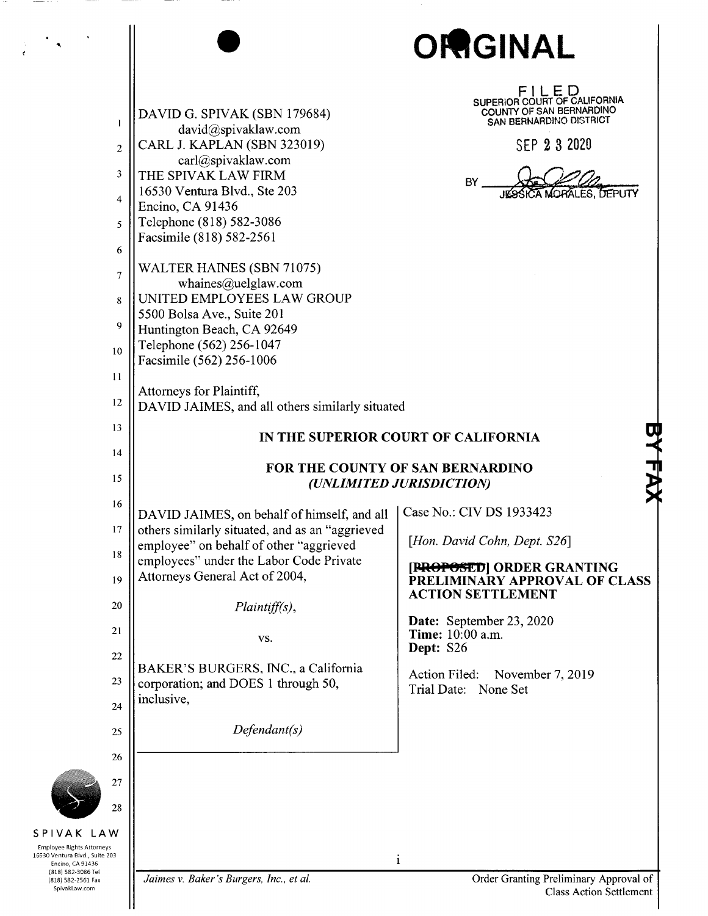|                                                                                                                                                  |                                                                                                                                                                                                                                                                                                                                                               | ORGINAL                                                                                                                                                                                                                                                                                                                                         |
|--------------------------------------------------------------------------------------------------------------------------------------------------|---------------------------------------------------------------------------------------------------------------------------------------------------------------------------------------------------------------------------------------------------------------------------------------------------------------------------------------------------------------|-------------------------------------------------------------------------------------------------------------------------------------------------------------------------------------------------------------------------------------------------------------------------------------------------------------------------------------------------|
| 1<br>$\overline{2}$<br>3<br>4<br>5                                                                                                               | DAVID G. SPIVAK (SBN 179684)<br>david@spivaklaw.com<br>CARL J. KAPLAN (SBN 323019)<br>carl@spivaklaw.com<br>THE SPIVAK LAW FIRM<br>16530 Ventura Blvd., Ste 203<br>Encino, CA 91436<br>Telephone (818) 582-3086<br>Facsimile (818) 582-2561                                                                                                                   | FILED<br>SUPERIOR COURT OF CALIFORNIA<br>COUNTY OF SAN BERNARDINO<br>SAN BERNARDINO DISTRICT<br>SEP 2 3 2020<br>BY<br>JESSICA MORALES, DEPUTY                                                                                                                                                                                                   |
| 6<br>$\overline{7}$<br>8<br>9<br>10                                                                                                              | WALTER HAINES (SBN 71075)<br>whaines@uelglaw.com<br>UNITED EMPLOYEES LAW GROUP<br>5500 Bolsa Ave., Suite 201<br>Huntington Beach, CA 92649<br>Telephone (562) 256-1047<br>Facsimile (562) 256-1006                                                                                                                                                            |                                                                                                                                                                                                                                                                                                                                                 |
| 11<br>12<br>13<br>14                                                                                                                             | Attorneys for Plaintiff,<br>DAVID JAIMES, and all others similarly situated                                                                                                                                                                                                                                                                                   | IN THE SUPERIOR COURT OF CALIFORNIA                                                                                                                                                                                                                                                                                                             |
| 15<br>16<br>17<br>18<br>19<br>20<br>21<br>22<br>23<br>24<br>25<br>26<br>27<br>28                                                                 | DAVID JAIMES, on behalf of himself, and all<br>others similarly situated, and as an "aggrieved<br>employee" on behalf of other "aggrieved<br>employees" under the Labor Code Private<br>Attorneys General Act of 2004,<br>$Plaintiff(s)$ ,<br>VS.<br>BAKER'S BURGERS, INC., a California<br>corporation; and DOES 1 through 50,<br>inclusive,<br>Defendant(s) | FOR THE COUNTY OF SAN BERNARDINO<br>(UNLIMITED JURISDICTION)<br>Case No.: CIV DS 1933423<br>[Hon. David Cohn, Dept. S26]<br>[PROPOSED] ORDER GRANTING<br>PRELIMINARY APPROVAL OF CLASS<br><b>ACTION SETTLEMENT</b><br>Date: September 23, 2020<br>Time: 10:00 a.m.<br>Dept: S26<br>Action Filed:<br>November 7, 2019<br>Trial Date:<br>None Set |
| SPIVAK LAW<br><b>Employee Rights Attorneys</b><br>16530 Ventura Blvd., Suite 203<br>Encino, CA 91436<br>(818) 582-3086 Tel<br>(818) 582-2561 Fax | Jaimes v. Baker's Burgers, Inc., et al.                                                                                                                                                                                                                                                                                                                       | $\mathbf{1}$<br>Order Granting Preliminary Approval of                                                                                                                                                                                                                                                                                          |

 $\sim$   $\sim$ 

 $\sim$ 

Class Action Settlement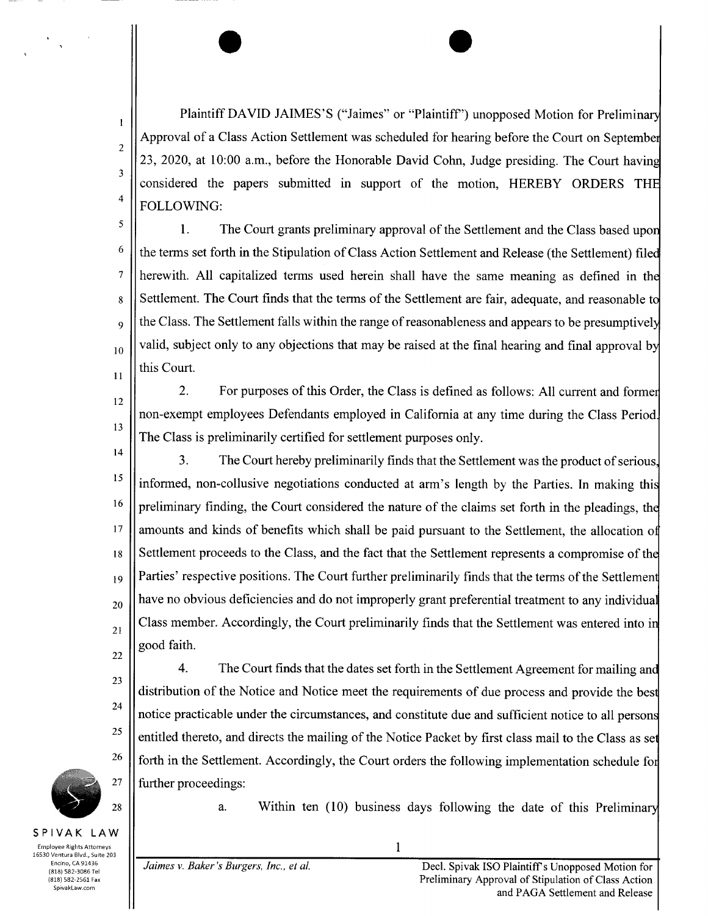Plaintiff DAVID JAIMES'S ("Jaimes" or "Plaintiff") unopposed Motion for Preliminary Approval of <sup>a</sup> Class Action Settlement was scheduled for hearing before the Court on Septembe 23, 2020, at 10:00 a.m., before the Honorable David Cohn, Judge presiding. The Court having considered the papers submitted in support of the motion HEREBY ORDERS TH FOLLOWING

5 1. The Court grants preliminary approval of the Settlement and the Class based upon 6 the terms set forth in the Stipulation of Class Action Settlement and Release (the Settlement) filed herewith. All capitalized terms used herein shall have the same meaning as defined in the  $\overline{7}$ 8 Settlement. The Court finds that the terms of the Settlement are fair, adequate, and reasonable to  $\theta_{\text{g}}$  || the Class. The Settlement falls within the range of reasonableness and appears to be presumptively  $_{10}$  | valid, subject only to any objections that may be raised at the final hearing and final approval by this Court ii

2. For purposes of this Order, the Class is defined as follows: All current and former i2 non exempt employees Defendants employed in California at any time during the Class Period 13 The Class is preliminarily certified for settlement purposes only

14 3. The Court hereby preliminarily finds that the Settlement was the product of serious. <sup>15</sup> linformed, non-collusive negotiations conducted at arm's length by the Parties. In making this  $16$  || preliminary finding, the Court considered the nature of the claims set forth in the pleadings, the  $17$  | amounts and kinds of benefits which shall be paid pursuant to the Settlement, the allocation of  $\frac{18}{18}$  Settlement proceeds to the Class, and the fact that the Settlement represents a compromise of the  $_{19}$  || Parties' respective positions. The Court further preliminarily finds that the terms of the Settlement  $\mathcal{L}_{20}$  || have no obvious deficiencies and do not improperly grant preferential treatment to any individual 21 Class member. Accordingly, the Court preliminarily finds that the Settlement was entered into in good faith 22

4. The Court finds that the dates set forth in the Settlement Agreement for mailing and distribution of the Notice and Notice meet the requirements of due process and provide the bes notice practicable under the circumstances, and constitute due and sufficient notice to all persons entitled thereto, and directs the mailing of the Notice Packet by first class mail to the Class as set  $26$  || forth in the Settlement. Accordingly, the Court orders the following implementation schedule for further proceedings



23

24

ZS

t

z

3

4

28  $\parallel$  a. Within ten (10) business days following the date of this Preliminary

Employee Rights Attorneys **1** 16530 Ventura Blvd., Suite 203 Spivaklaw com

SPIVAK LAW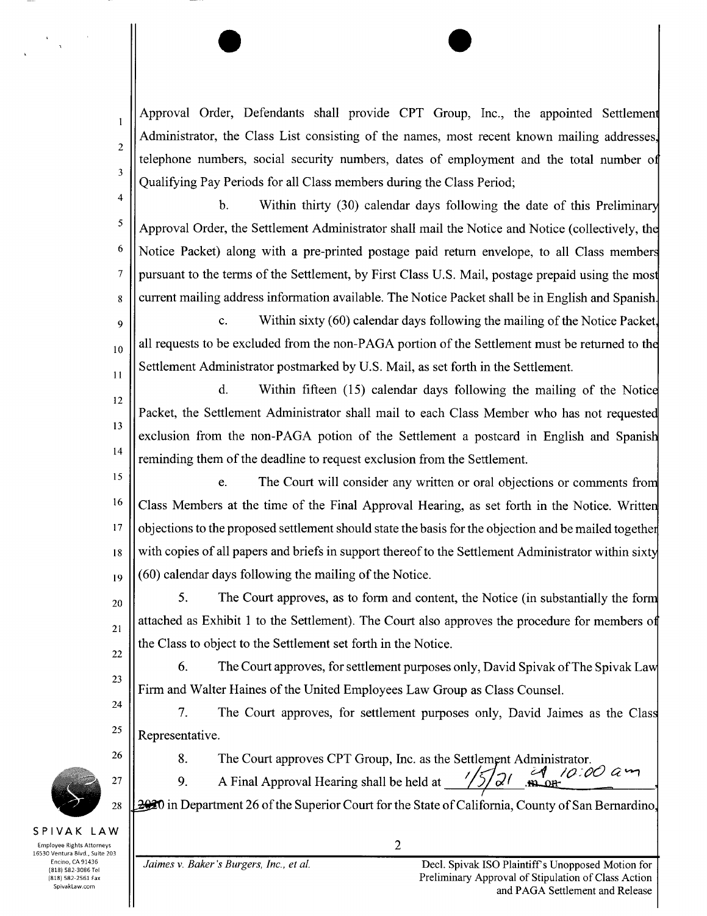Approval Order, Defendants shall provide CPT Group, Inc., the appointed Settlement Administrator, the Class List consisting of the names, most recent known mailing addresses. telephone numbers, social security numbers, dates of employment and the total number of Qualifying Pay Periods for all Class members during the Class Period

4

I

2

3

5

6

 $\overline{7}$ 

b. Within thirty (30) calendar days following the date of this Preliminary Approval Order, the Settlement Administrator shall mail the Notice and Notice (collectively, the Notice Packet) along with a pre-printed postage paid return envelope, to all Class members pursuant to the terms of the Settlement, by First Class U.S. Mail, postage prepaid using the most <sup>s</sup> current mailing address information available The Notice Packet shall be in English and Spanish

9 c. Within sixty  $(60)$  calendar days following the mailing of the Notice Packet.  $t_{10}$  all requests to be excluded from the non-PAGA portion of the Settlement must be returned to the ti Settlement Administrator postmarked by U.S. Mail, as set forth in the Settlement.

d. Within fifteen  $(15)$  calendar days following the mailing of the Notice 12 Packet, the Settlement Administrator shall mail to each Class Member who has not requested 13 exclusion from the non-PAGA potion of the Settlement a postcard in English and Spanish 14 reminding them of the deadline to request exclusion from the Settlement.

ls e. The Court will consider any written or oral objections or comments from  $16$  Class Members at the time of the Final Approval Hearing, as set forth in the Notice. Written <sup>17</sup> | objections to the proposed settlement should state the basis for the objection and be mailed together  $\frac{18}{18}$  || with copies of all papers and briefs in support thereof to the Settlement Administrator within sixty  $_{19}$   $\vert \vert$  (60) calendar days following the mailing of the Notice.

20 5. The Court approves, as to form and content, the Notice (in substantially the form attached as Exhibit 1 to the Settlement). The Court also approves the procedure for members of 21 the Class to object to the Settlement set forth in the Notice 22

6. The Court approves, for settlement purposes only, David Spivak of The Spivak Law Firm and Walter Haines of the United Employees Law Group as Class Counsel.

7. The Court approves, for settlement purposes only, David Jaimes as the Class  $\frac{25}{ }$  Representative.

23

24

<sup>26</sup> 8. The Court approves CPT Group, Inc. as the Settlement Administrator.

27  $\vert$  9. A Final Approval Hearing shall be held at

 $28 \mid 2920$  in Department 26 of the Superior Court for the State of California, County of San Bernardino,

SPIVAK LAW Employee Rights Attorneys  $\qquad \qquad \parallel$ 16530 Ventura Bivd., Suite 203 (818) 582-3086 Tel<br>(818) 582-2561 Fax

SpivakLaw com

.<br>Ofi-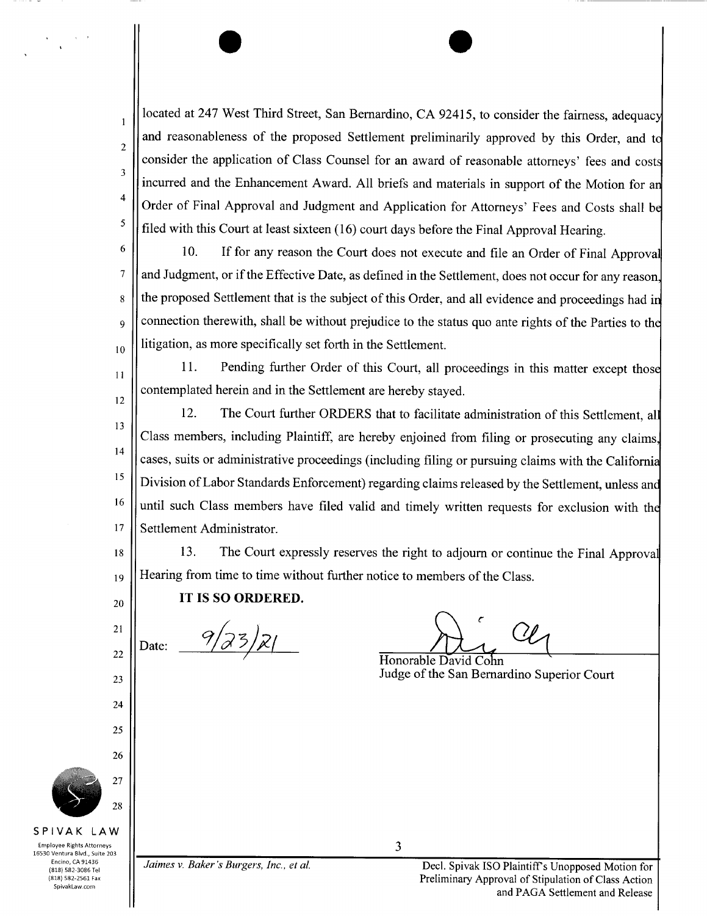located at 247 West Third Street, San Bernardino, CA 92415, to consider the fairness, adequacy and reasonableness of the proposed Settlement preliminarily approved by this Order, and to 2 consider the application of Class Counsel for an award of reasonable attorneys' fees and costs 3 incurred and the Enhancement Award. All briefs and materials in support of the Motion for an Order of Final Approval and Judgment and Application for Attorneys' Fees and Costs shall be filed with this Court at least sixteen  $(16)$  court days before the Final Approval Hearing.

6

s

 $\overline{7}$ 

1<sup>1</sup>

z

22

24

25

26

4

5

 $\mathbf{1}$ 

 $\chi\to 0$ 

10. If for any reason the Court does not execute and file an Order of Final Approval and Judgment, or if the Effective Date, as defined in the Settlement, does not occur for any reason, the proposed Settlement that is the subject of this Order, and all evidence and proceedings had in  $\theta_{\text{g}}$  | connection therewith, shall be without prejudice to the status quo ante rights of the Parties to the  $t_{10}$  litigation, as more specifically set forth in the Settlement.

11. Pending further Order of this Court, all proceedings in this matter except those  $\begin{bmatrix} 12 \\ 12 \end{bmatrix}$  contemplated herein and in the Settlement are hereby stayed.

12. The Court further ORDERS that to facilitate administration of this Settlement, all 13 Class members, including Plaintiff, are hereby enjoined from filing or prosecuting any claims, 14 cases, suits or administrative proceedings (including filing or pursuing claims with the California  $15$ Division of Labor Standards Enforcement) regarding claims released by the Settlement, unless and  $16$  until such Class members have filed valid and timely written requests for exclusion with the 17 Settlement Administrator.

18 | 13. The Court expressly reserves the right to adjourn or continue the Final Approval  $_{19}$  || Hearing from time to time without further notice to members of the Class.

## $_{20}$  || IT IS SO ORDERED.

Date:  $\frac{9}{3^{3}/2}$ 

U

Honorable David Co  $\begin{array}{c|c}\n & \text{Judge of the San Bernardino Superior Court}\n\end{array}$ 

i. 27 28

## SPIVAK LAW

Employee Rights Attorneys **3** 16530 Ventura Blvd., Suite 203 SpivakLaw com